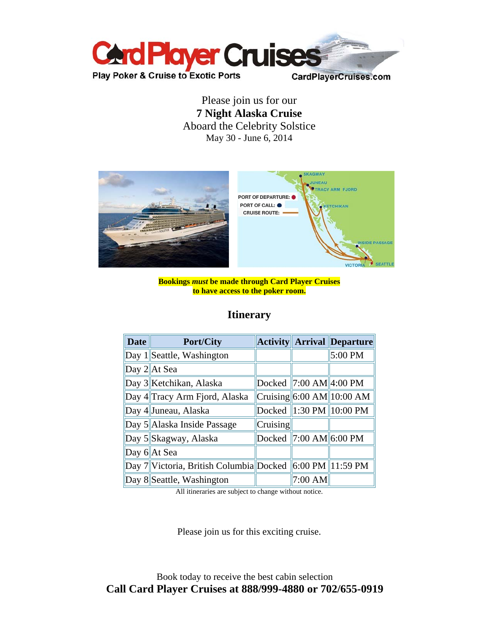

Please join us for our **7 Night Alaska Cruise**  Aboard the Celebrity Solstice May 30 - June 6, 2014



**Bookings** *must* **be made through Card Player Cruises to have access to the poker room.**

# **Itinerary**

| <b>Date</b> | <b>Port/City</b>                        |          |                           | <b>Activity Arrival Departure</b> |
|-------------|-----------------------------------------|----------|---------------------------|-----------------------------------|
|             | Day 1 Seattle, Washington               |          |                           | $5:00 \text{ PM}$                 |
|             | Day 2 At Sea                            |          |                           |                                   |
|             | Day 3 Ketchikan, Alaska                 |          | Docked   7:00 AM  4:00 PM |                                   |
|             | Day 4 Tracy Arm Fjord, Alaska           |          |                           | Cruising $6:00$ AM $10:00$ AM     |
|             | Day 4 Juneau, Alaska                    |          |                           | Docked   1:30 PM   10:00 PM       |
|             | Day 5 Alaska Inside Passage             | Cruising |                           |                                   |
|             | Day 5 Skagway, Alaska                   |          | Docked 7:00 AM 6:00 PM    |                                   |
|             | Day 6 At Sea                            |          |                           |                                   |
|             | Day 7 Victoria, British Columbia Docked |          |                           | 6:00 PM 11:59 PM                  |
|             | Day 8 Seattle, Washington               |          | 7:00 AM                   |                                   |

All itineraries are subject to change without notice.

Please join us for this exciting cruise.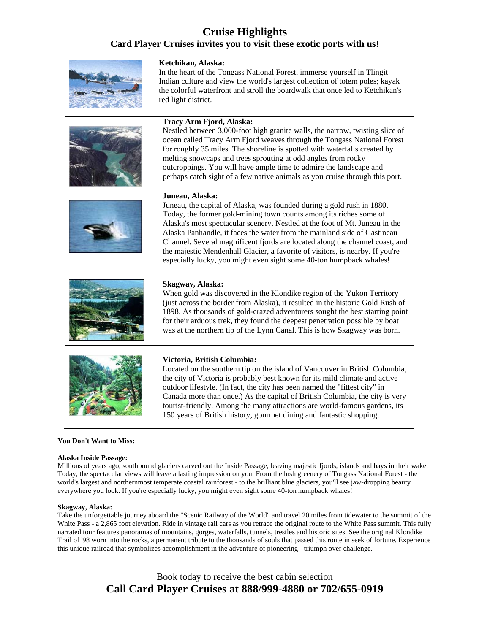# **Cruise Highlights**

## **Card Player Cruises invites you to visit these exotic ports with us!**



### **Ketchikan, Alaska:**

In the heart of the Tongass National Forest, immerse yourself in Tlingit Indian culture and view the world's largest collection of totem poles; kayak the colorful waterfront and stroll the boardwalk that once led to Ketchikan's red light district.



## **Tracy Arm Fjord, Alaska:**

Nestled between 3,000-foot high granite walls, the narrow, twisting slice of ocean called Tracy Arm Fjord weaves through the Tongass National Forest for roughly 35 miles. The shoreline is spotted with waterfalls created by melting snowcaps and trees sprouting at odd angles from rocky outcroppings. You will have ample time to admire the landscape and perhaps catch sight of a few native animals as you cruise through this port.



### **Juneau, Alaska:**

Juneau, the capital of Alaska, was founded during a gold rush in 1880. Today, the former gold-mining town counts among its riches some of Alaska's most spectacular scenery. Nestled at the foot of Mt. Juneau in the Alaska Panhandle, it faces the water from the mainland side of Gastineau Channel. Several magnificent fjords are located along the channel coast, and the majestic Mendenhall Glacier, a favorite of visitors, is nearby. If you're especially lucky, you might even sight some 40-ton humpback whales!



### **Skagway, Alaska:**

When gold was discovered in the Klondike region of the Yukon Territory (just across the border from Alaska), it resulted in the historic Gold Rush of 1898. As thousands of gold-crazed adventurers sought the best starting point for their arduous trek, they found the deepest penetration possible by boat was at the northern tip of the Lynn Canal. This is how Skagway was born.



### **Victoria, British Columbia:**

Located on the southern tip on the island of Vancouver in British Columbia, the city of Victoria is probably best known for its mild climate and active outdoor lifestyle. (In fact, the city has been named the "fittest city" in Canada more than once.) As the capital of British Columbia, the city is very tourist-friendly. Among the many attractions are world-famous gardens, its 150 years of British history, gourmet dining and fantastic shopping.

### **You Don't Want to Miss:**

#### **Alaska Inside Passage:**

Millions of years ago, southbound glaciers carved out the Inside Passage, leaving majestic fjords, islands and bays in their wake. Today, the spectacular views will leave a lasting impression on you. From the lush greenery of Tongass National Forest - the world's largest and northernmost temperate coastal rainforest - to the brilliant blue glaciers, you'll see jaw-dropping beauty everywhere you look. If you're especially lucky, you might even sight some 40-ton humpback whales!

#### **Skagway, Alaska:**

Take the unforgettable journey aboard the "Scenic Railway of the World" and travel 20 miles from tidewater to the summit of the White Pass - a 2,865 foot elevation. Ride in vintage rail cars as you retrace the original route to the White Pass summit. This fully narrated tour features panoramas of mountains, gorges, waterfalls, tunnels, trestles and historic sites. See the original Klondike Trail of '98 worn into the rocks, a permanent tribute to the thousands of souls that passed this route in seek of fortune. Experience this unique railroad that symbolizes accomplishment in the adventure of pioneering - triumph over challenge.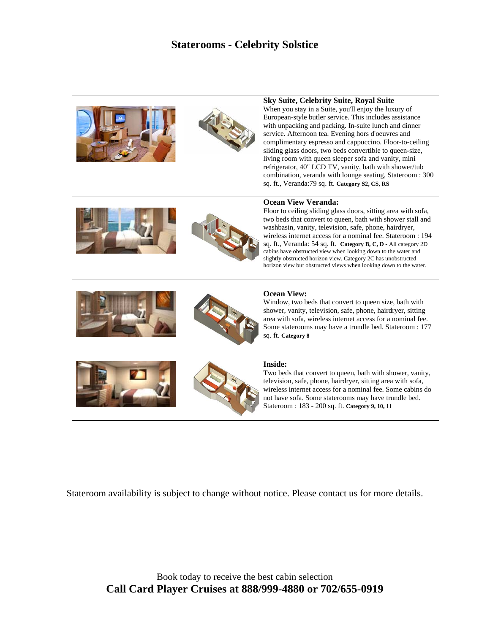# **Staterooms - Celebrity Solstice**





### **Sky Suite, Celebrity Suite, Royal Suite**

When you stay in a Suite, you'll enjoy the luxury of European-style butler service. This includes assistance with unpacking and packing. In-suite lunch and dinner service. Afternoon tea. Evening hors d'oeuvres and complimentary espresso and cappuccino. Floor-to-ceiling sliding glass doors, two beds convertible to queen-size, living room with queen sleeper sofa and vanity, mini refrigerator, 40" LCD TV, vanity, bath with shower/tub combination, veranda with lounge seating, Stateroom : 300 sq. ft., Veranda:79 sq. ft. **Category S2, CS, RS**





### **Ocean View Veranda:**

Floor to ceiling sliding glass doors, sitting area with sofa, two beds that convert to queen, bath with shower stall and washbasin, vanity, television, safe, phone, hairdryer, wireless internet access for a nominal fee. Stateroom : 194 sq. ft., Veranda: 54 sq. ft. **Category B, C, D -** All category 2D cabins have obstructed view when looking down to the water and slightly obstructed horizon view. Category 2C has unobstructed horizon view but obstructed views when looking down to the water.





#### **Ocean View:**

Window, two beds that convert to queen size, bath with shower, vanity, television, safe, phone, hairdryer, sitting area with sofa, wireless internet access for a nominal fee. Some staterooms may have a trundle bed. Stateroom : 177 sq. ft. **Category 8** 





## **Inside:**

Two beds that convert to queen, bath with shower, vanity, television, safe, phone, hairdryer, sitting area with sofa, wireless internet access for a nominal fee. Some cabins do not have sofa. Some staterooms may have trundle bed. Stateroom : 183 - 200 sq. ft. **Category 9, 10, 11**

Stateroom availability is subject to change without notice. Please contact us for more details.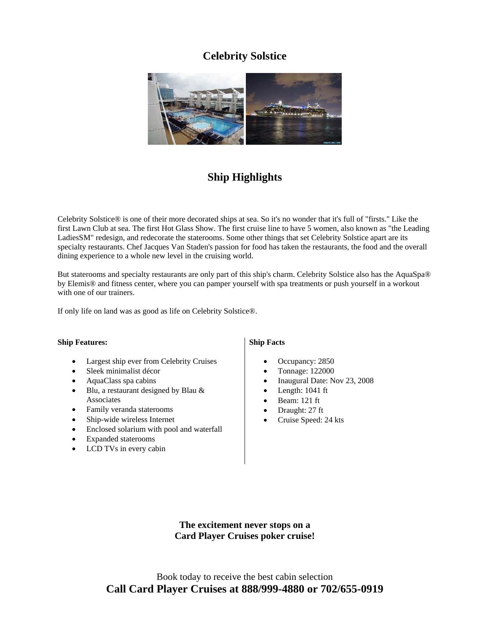# **Celebrity Solstice**



# **Ship Highlights**

Celebrity Solstice® is one of their more decorated ships at sea. So it's no wonder that it's full of "firsts." Like the first Lawn Club at sea. The first Hot Glass Show. The first cruise line to have 5 women, also known as "the Leading LadiesSM" redesign, and redecorate the staterooms. Some other things that set Celebrity Solstice apart are its specialty restaurants. Chef Jacques Van Staden's passion for food has taken the restaurants, the food and the overall dining experience to a whole new level in the cruising world.

But staterooms and specialty restaurants are only part of this ship's charm. Celebrity Solstice also has the AquaSpa® by Elemis® and fitness center, where you can pamper yourself with spa treatments or push yourself in a workout with one of our trainers.

If only life on land was as good as life on Celebrity Solstice®.

## **Ship Features:**

- Largest ship ever from Celebrity Cruises
- Sleek minimalist décor
- AquaClass spa cabins
- Blu, a restaurant designed by Blau & Associates
- Family veranda staterooms
- Ship-wide wireless Internet
- Enclosed solarium with pool and waterfall
- Expanded staterooms
- LCD TVs in every cabin

## **Ship Facts**

- Occupancy: 2850
- Tonnage: 122000
- Inaugural Date: Nov 23, 2008
- Length: 1041 ft
- Beam: 121 ft
- Draught: 27 ft
- Cruise Speed: 24 kts

**The excitement never stops on a Card Player Cruises poker cruise!**